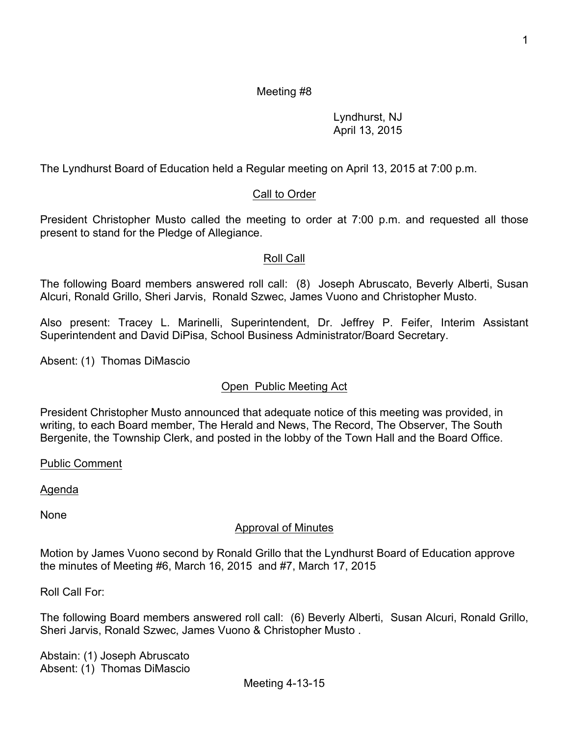# Meeting #8

### Lyndhurst, NJ April 13, 2015

The Lyndhurst Board of Education held a Regular meeting on April 13, 2015 at 7:00 p.m.

# Call to Order

President Christopher Musto called the meeting to order at 7:00 p.m. and requested all those present to stand for the Pledge of Allegiance.

# Roll Call

The following Board members answered roll call: (8) Joseph Abruscato, Beverly Alberti, Susan Alcuri, Ronald Grillo, Sheri Jarvis, Ronald Szwec, James Vuono and Christopher Musto.

Also present: Tracey L. Marinelli, Superintendent, Dr. Jeffrey P. Feifer, Interim Assistant Superintendent and David DiPisa, School Business Administrator/Board Secretary.

Absent: (1) Thomas DiMascio

# Open Public Meeting Act

President Christopher Musto announced that adequate notice of this meeting was provided, in writing, to each Board member, The Herald and News, The Record, The Observer, The South Bergenite, the Township Clerk, and posted in the lobby of the Town Hall and the Board Office.

Public Comment

Agenda

None

### Approval of Minutes

Motion by James Vuono second by Ronald Grillo that the Lyndhurst Board of Education approve the minutes of Meeting #6, March 16, 2015 and #7, March 17, 2015

Roll Call For:

The following Board members answered roll call: (6) Beverly Alberti, Susan Alcuri, Ronald Grillo, Sheri Jarvis, Ronald Szwec, James Vuono & Christopher Musto .

Abstain: (1) Joseph Abruscato Absent: (1) Thomas DiMascio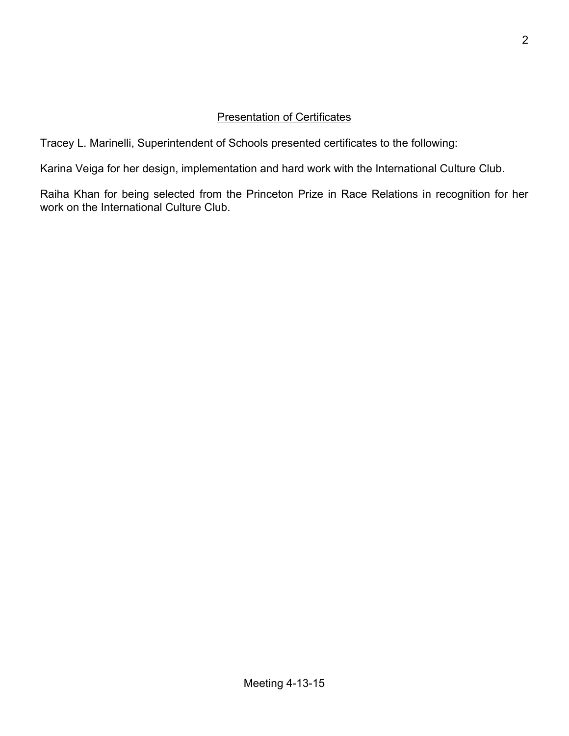# Presentation of Certificates

Tracey L. Marinelli, Superintendent of Schools presented certificates to the following:

Karina Veiga for her design, implementation and hard work with the International Culture Club.

Raiha Khan for being selected from the Princeton Prize in Race Relations in recognition for her work on the International Culture Club.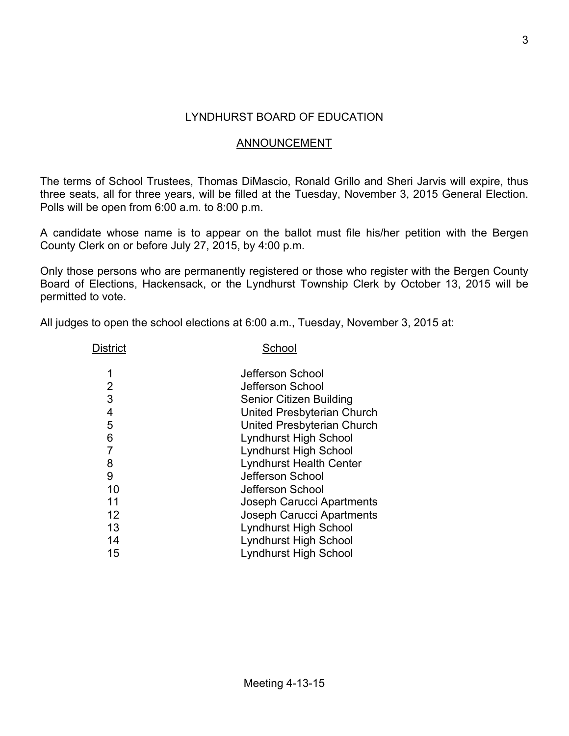# LYNDHURST BOARD OF EDUCATION

### ANNOUNCEMENT

The terms of School Trustees, Thomas DiMascio, Ronald Grillo and Sheri Jarvis will expire, thus three seats, all for three years, will be filled at the Tuesday, November 3, 2015 General Election. Polls will be open from 6:00 a.m. to 8:00 p.m.

A candidate whose name is to appear on the ballot must file his/her petition with the Bergen County Clerk on or before July 27, 2015, by 4:00 p.m.

Only those persons who are permanently registered or those who register with the Bergen County Board of Elections, Hackensack, or the Lyndhurst Township Clerk by October 13, 2015 will be permitted to vote.

All judges to open the school elections at 6:00 a.m., Tuesday, November 3, 2015 at:

| District       | School                           |
|----------------|----------------------------------|
| 1              | Jefferson School                 |
| 2              | Jefferson School                 |
| 3              | <b>Senior Citizen Building</b>   |
| 4              | United Presbyterian Church       |
| 5              | United Presbyterian Church       |
| 6              | <b>Lyndhurst High School</b>     |
| $\overline{7}$ | Lyndhurst High School            |
| 8              | <b>Lyndhurst Health Center</b>   |
| 9              | Jefferson School                 |
| 10             | Jefferson School                 |
| 11             | <b>Joseph Carucci Apartments</b> |
| 12             | <b>Joseph Carucci Apartments</b> |
| 13             | Lyndhurst High School            |
| 14             | Lyndhurst High School            |
| 15             | Lyndhurst High School            |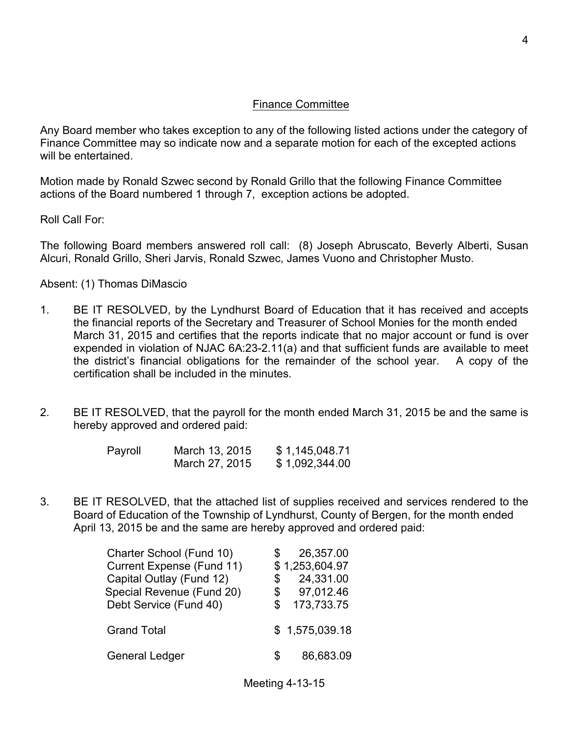### Finance Committee

Any Board member who takes exception to any of the following listed actions under the category of Finance Committee may so indicate now and a separate motion for each of the excepted actions will be entertained.

Motion made by Ronald Szwec second by Ronald Grillo that the following Finance Committee actions of the Board numbered 1 through 7, exception actions be adopted.

Roll Call For:

The following Board members answered roll call: (8) Joseph Abruscato, Beverly Alberti, Susan Alcuri, Ronald Grillo, Sheri Jarvis, Ronald Szwec, James Vuono and Christopher Musto.

Absent: (1) Thomas DiMascio

- 1. BE IT RESOLVED, by the Lyndhurst Board of Education that it has received and accepts the financial reports of the Secretary and Treasurer of School Monies for the month ended March 31, 2015 and certifies that the reports indicate that no major account or fund is over expended in violation of NJAC 6A:23-2.11(a) and that sufficient funds are available to meet the district's financial obligations for the remainder of the school year. A copy of the certification shall be included in the minutes.
- 2. BE IT RESOLVED, that the payroll for the month ended March 31, 2015 be and the same is hereby approved and ordered paid:

| Payroll | March 13, 2015 | \$1,145,048.71 |
|---------|----------------|----------------|
|         | March 27, 2015 | \$1,092,344.00 |

3. BE IT RESOLVED, that the attached list of supplies received and services rendered to the Board of Education of the Township of Lyndhurst, County of Bergen, for the month ended April 13, 2015 be and the same are hereby approved and ordered paid:

| Charter School (Fund 10)<br>Current Expense (Fund 11)<br>Capital Outlay (Fund 12)<br>Special Revenue (Fund 20) | \$<br>\$ | 26,357.00<br>\$1,253,604.97<br>24,331.00<br>97,012.46 |
|----------------------------------------------------------------------------------------------------------------|----------|-------------------------------------------------------|
| Debt Service (Fund 40)<br><b>Grand Total</b>                                                                   | \$.      | 173,733.75<br>\$1,575,039.18                          |
| <b>General Ledger</b>                                                                                          | SS.      | 86,683.09                                             |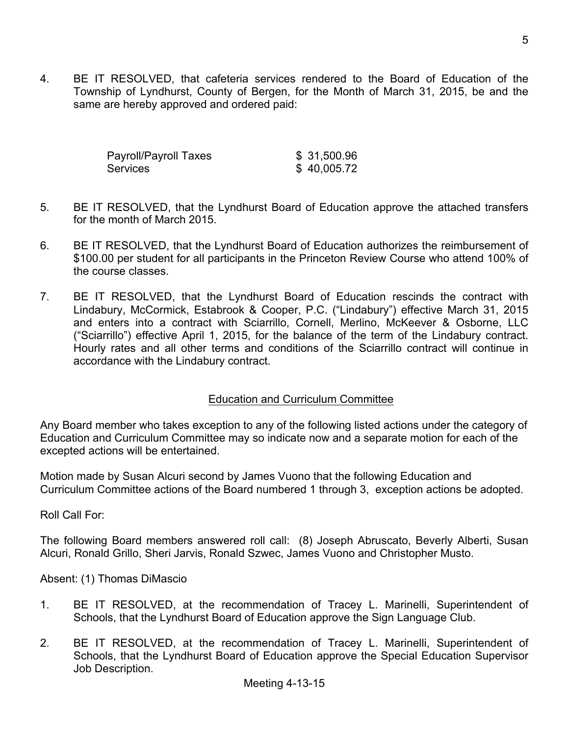4. BE IT RESOLVED, that cafeteria services rendered to the Board of Education of the Township of Lyndhurst, County of Bergen, for the Month of March 31, 2015, be and the same are hereby approved and ordered paid:

| Payroll/Payroll Taxes | \$ 31,500.96 |
|-----------------------|--------------|
| Services              | \$40,005.72  |

- 5. BE IT RESOLVED, that the Lyndhurst Board of Education approve the attached transfers for the month of March 2015.
- 6. BE IT RESOLVED, that the Lyndhurst Board of Education authorizes the reimbursement of \$100.00 per student for all participants in the Princeton Review Course who attend 100% of the course classes.
- 7. BE IT RESOLVED, that the Lyndhurst Board of Education rescinds the contract with Lindabury, McCormick, Estabrook & Cooper, P.C. ("Lindabury") effective March 31, 2015 and enters into a contract with Sciarrillo, Cornell, Merlino, McKeever & Osborne, LLC ("Sciarrillo") effective April 1, 2015, for the balance of the term of the Lindabury contract. Hourly rates and all other terms and conditions of the Sciarrillo contract will continue in accordance with the Lindabury contract.

# Education and Curriculum Committee

Any Board member who takes exception to any of the following listed actions under the category of Education and Curriculum Committee may so indicate now and a separate motion for each of the excepted actions will be entertained.

Motion made by Susan Alcuri second by James Vuono that the following Education and Curriculum Committee actions of the Board numbered 1 through 3, exception actions be adopted.

Roll Call For:

The following Board members answered roll call: (8) Joseph Abruscato, Beverly Alberti, Susan Alcuri, Ronald Grillo, Sheri Jarvis, Ronald Szwec, James Vuono and Christopher Musto.

- 1. BE IT RESOLVED, at the recommendation of Tracey L. Marinelli, Superintendent of Schools, that the Lyndhurst Board of Education approve the Sign Language Club.
- 2. BE IT RESOLVED, at the recommendation of Tracey L. Marinelli, Superintendent of Schools, that the Lyndhurst Board of Education approve the Special Education Supervisor Job Description.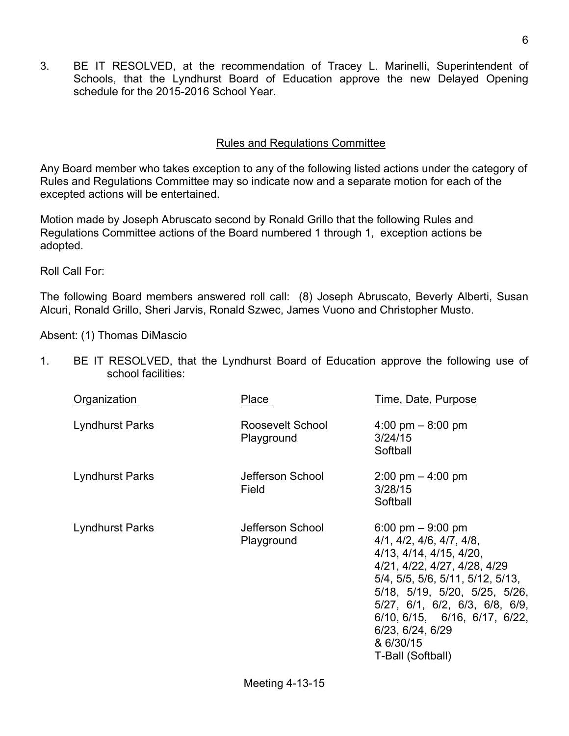3. BE IT RESOLVED, at the recommendation of Tracey L. Marinelli, Superintendent of Schools, that the Lyndhurst Board of Education approve the new Delayed Opening schedule for the 2015-2016 School Year.

# Rules and Regulations Committee

Any Board member who takes exception to any of the following listed actions under the category of Rules and Regulations Committee may so indicate now and a separate motion for each of the excepted actions will be entertained.

Motion made by Joseph Abruscato second by Ronald Grillo that the following Rules and Regulations Committee actions of the Board numbered 1 through 1, exception actions be adopted.

Roll Call For:

The following Board members answered roll call: (8) Joseph Abruscato, Beverly Alberti, Susan Alcuri, Ronald Grillo, Sheri Jarvis, Ronald Szwec, James Vuono and Christopher Musto.

Absent: (1) Thomas DiMascio

1. BE IT RESOLVED, that the Lyndhurst Board of Education approve the following use of school facilities:

| Organization    | Place                          | Time, Date, Purpose                                                                                                                                                                                                                                                                                                                   |
|-----------------|--------------------------------|---------------------------------------------------------------------------------------------------------------------------------------------------------------------------------------------------------------------------------------------------------------------------------------------------------------------------------------|
| Lyndhurst Parks | Roosevelt School<br>Playground | $4:00 \text{ pm} - 8:00 \text{ pm}$<br>3/24/15<br>Softball                                                                                                                                                                                                                                                                            |
| Lyndhurst Parks | Jefferson School<br>Field      | $2:00 \text{ pm} - 4:00 \text{ pm}$<br>3/28/15<br>Softball                                                                                                                                                                                                                                                                            |
| Lyndhurst Parks | Jefferson School<br>Playground | 6:00 pm $-9:00$ pm<br>4/1, 4/2, 4/6, 4/7, 4/8,<br>4/13, 4/14, 4/15, 4/20,<br>4/21, 4/22, 4/27, 4/28, 4/29<br>5/4, 5/5, 5/6, 5/11, 5/12, 5/13,<br>$5/18$ , $5/19$ , $5/20$ , $5/25$ , $5/26$ ,<br>5/27, 6/1, 6/2, 6/3, 6/8, 6/9,<br>$6/10$ , $6/15$ , $6/16$ , $6/17$ , $6/22$ ,<br>6/23, 6/24, 6/29<br>& 6/30/15<br>T-Ball (Softball) |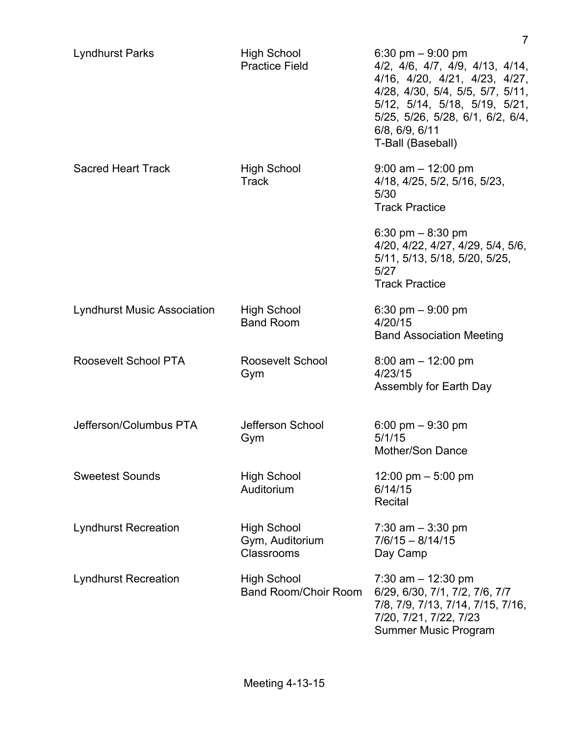|                                    |                                                     | 7                                                                                                                                                                                                                                      |
|------------------------------------|-----------------------------------------------------|----------------------------------------------------------------------------------------------------------------------------------------------------------------------------------------------------------------------------------------|
| <b>Lyndhurst Parks</b>             | <b>High School</b><br><b>Practice Field</b>         | 6:30 pm $-9:00$ pm<br>4/2, 4/6, 4/7, 4/9, 4/13, 4/14,<br>4/16, 4/20, 4/21, 4/23, 4/27,<br>4/28, 4/30, 5/4, 5/5, 5/7, 5/11,<br>5/12, 5/14, 5/18, 5/19, 5/21,<br>5/25, 5/26, 5/28, 6/1, 6/2, 6/4,<br>6/8, 6/9, 6/11<br>T-Ball (Baseball) |
| <b>Sacred Heart Track</b>          | <b>High School</b><br><b>Track</b>                  | $9:00$ am $-12:00$ pm<br>4/18, 4/25, 5/2, 5/16, 5/23,<br>5/30<br><b>Track Practice</b>                                                                                                                                                 |
|                                    |                                                     | 6:30 pm $-$ 8:30 pm<br>4/20, 4/22, 4/27, 4/29, 5/4, 5/6,<br>5/11, 5/13, 5/18, 5/20, 5/25,<br>5/27<br><b>Track Practice</b>                                                                                                             |
| <b>Lyndhurst Music Association</b> | <b>High School</b><br><b>Band Room</b>              | 6:30 pm $-9:00$ pm<br>4/20/15<br><b>Band Association Meeting</b>                                                                                                                                                                       |
| Roosevelt School PTA               | Roosevelt School<br>Gym                             | $8:00$ am $-12:00$ pm<br>4/23/15<br>Assembly for Earth Day                                                                                                                                                                             |
| Jefferson/Columbus PTA             | Jefferson School<br>Gym                             | 6:00 pm $-$ 9:30 pm<br>5/1/15<br>Mother/Son Dance                                                                                                                                                                                      |
| <b>Sweetest Sounds</b>             | <b>High School</b><br>Auditorium                    | 12:00 pm $-$ 5:00 pm<br>6/14/15<br>Recital                                                                                                                                                                                             |
| <b>Lyndhurst Recreation</b>        | <b>High School</b><br>Gym, Auditorium<br>Classrooms | 7:30 am $-$ 3:30 pm<br>$7/6/15 - 8/14/15$<br>Day Camp                                                                                                                                                                                  |
| <b>Lyndhurst Recreation</b>        | <b>High School</b><br><b>Band Room/Choir Room</b>   | 7:30 am $-$ 12:30 pm<br>6/29, 6/30, 7/1, 7/2, 7/6, 7/7<br>7/8, 7/9, 7/13, 7/14, 7/15, 7/16,<br>7/20, 7/21, 7/22, 7/23<br><b>Summer Music Program</b>                                                                                   |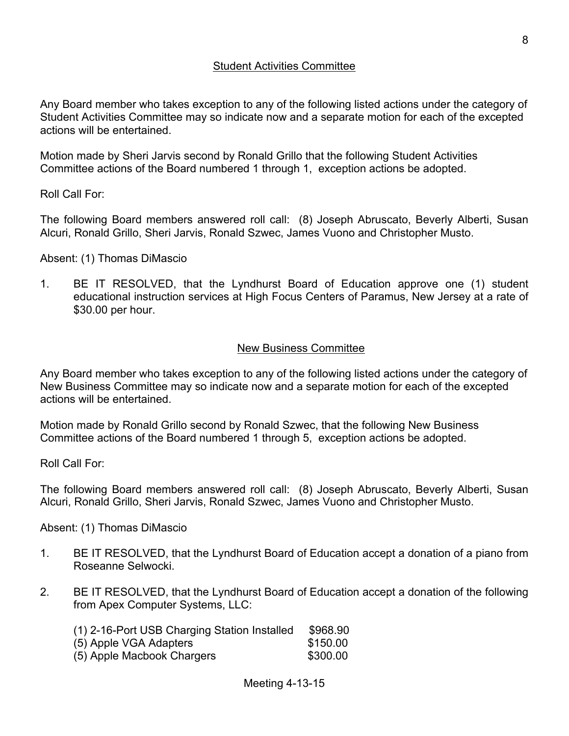### Student Activities Committee

Any Board member who takes exception to any of the following listed actions under the category of Student Activities Committee may so indicate now and a separate motion for each of the excepted actions will be entertained.

Motion made by Sheri Jarvis second by Ronald Grillo that the following Student Activities Committee actions of the Board numbered 1 through 1, exception actions be adopted.

Roll Call For:

The following Board members answered roll call: (8) Joseph Abruscato, Beverly Alberti, Susan Alcuri, Ronald Grillo, Sheri Jarvis, Ronald Szwec, James Vuono and Christopher Musto.

#### Absent: (1) Thomas DiMascio

1. BE IT RESOLVED, that the Lyndhurst Board of Education approve one (1) student educational instruction services at High Focus Centers of Paramus, New Jersey at a rate of \$30.00 per hour.

### New Business Committee

Any Board member who takes exception to any of the following listed actions under the category of New Business Committee may so indicate now and a separate motion for each of the excepted actions will be entertained.

Motion made by Ronald Grillo second by Ronald Szwec, that the following New Business Committee actions of the Board numbered 1 through 5, exception actions be adopted.

Roll Call For:

The following Board members answered roll call: (8) Joseph Abruscato, Beverly Alberti, Susan Alcuri, Ronald Grillo, Sheri Jarvis, Ronald Szwec, James Vuono and Christopher Musto.

- 1. BE IT RESOLVED, that the Lyndhurst Board of Education accept a donation of a piano from Roseanne Selwocki.
- 2. BE IT RESOLVED, that the Lyndhurst Board of Education accept a donation of the following from Apex Computer Systems, LLC:

| (1) 2-16-Port USB Charging Station Installed | \$968.90 |
|----------------------------------------------|----------|
| (5) Apple VGA Adapters                       | \$150.00 |
| (5) Apple Macbook Chargers                   | \$300.00 |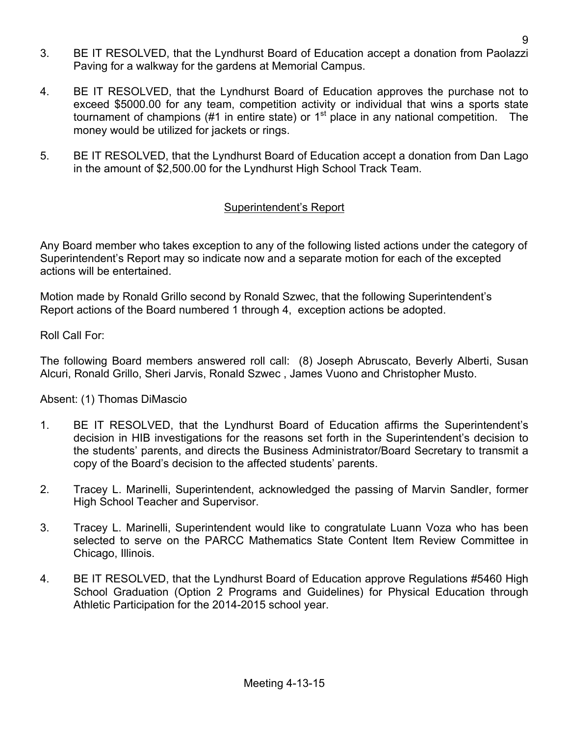- 3. BE IT RESOLVED, that the Lyndhurst Board of Education accept a donation from Paolazzi Paving for a walkway for the gardens at Memorial Campus.
- 4. BE IT RESOLVED, that the Lyndhurst Board of Education approves the purchase not to exceed \$5000.00 for any team, competition activity or individual that wins a sports state tournament of champions (#1 in entire state) or  $1<sup>st</sup>$  place in any national competition. The money would be utilized for jackets or rings.
- 5. BE IT RESOLVED, that the Lyndhurst Board of Education accept a donation from Dan Lago in the amount of \$2,500.00 for the Lyndhurst High School Track Team.

# Superintendent's Report

Any Board member who takes exception to any of the following listed actions under the category of Superintendent's Report may so indicate now and a separate motion for each of the excepted actions will be entertained.

Motion made by Ronald Grillo second by Ronald Szwec, that the following Superintendent's Report actions of the Board numbered 1 through 4, exception actions be adopted.

Roll Call For:

The following Board members answered roll call: (8) Joseph Abruscato, Beverly Alberti, Susan Alcuri, Ronald Grillo, Sheri Jarvis, Ronald Szwec , James Vuono and Christopher Musto.

- 1. BE IT RESOLVED, that the Lyndhurst Board of Education affirms the Superintendent's decision in HIB investigations for the reasons set forth in the Superintendent's decision to the students' parents, and directs the Business Administrator/Board Secretary to transmit a copy of the Board's decision to the affected students' parents.
- 2. Tracey L. Marinelli, Superintendent, acknowledged the passing of Marvin Sandler, former High School Teacher and Supervisor.
- 3. Tracey L. Marinelli, Superintendent would like to congratulate Luann Voza who has been selected to serve on the PARCC Mathematics State Content Item Review Committee in Chicago, Illinois.
- 4. BE IT RESOLVED, that the Lyndhurst Board of Education approve Regulations #5460 High School Graduation (Option 2 Programs and Guidelines) for Physical Education through Athletic Participation for the 2014-2015 school year.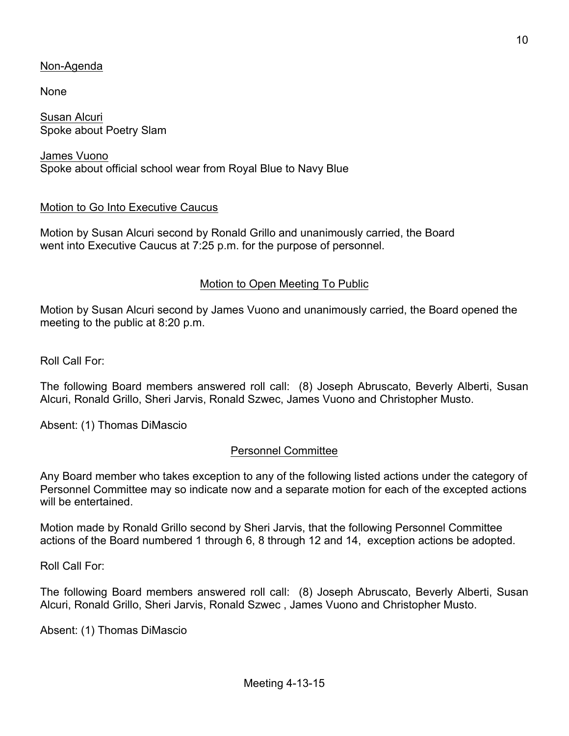# Non-Agenda

None

Susan Alcuri Spoke about Poetry Slam

James Vuono Spoke about official school wear from Royal Blue to Navy Blue

### Motion to Go Into Executive Caucus

Motion by Susan Alcuri second by Ronald Grillo and unanimously carried, the Board went into Executive Caucus at 7:25 p.m. for the purpose of personnel.

#### Motion to Open Meeting To Public

Motion by Susan Alcuri second by James Vuono and unanimously carried, the Board opened the meeting to the public at 8:20 p.m.

Roll Call For:

The following Board members answered roll call: (8) Joseph Abruscato, Beverly Alberti, Susan Alcuri, Ronald Grillo, Sheri Jarvis, Ronald Szwec, James Vuono and Christopher Musto.

Absent: (1) Thomas DiMascio

### Personnel Committee

Any Board member who takes exception to any of the following listed actions under the category of Personnel Committee may so indicate now and a separate motion for each of the excepted actions will be entertained.

Motion made by Ronald Grillo second by Sheri Jarvis, that the following Personnel Committee actions of the Board numbered 1 through 6, 8 through 12 and 14, exception actions be adopted.

Roll Call For:

The following Board members answered roll call: (8) Joseph Abruscato, Beverly Alberti, Susan Alcuri, Ronald Grillo, Sheri Jarvis, Ronald Szwec , James Vuono and Christopher Musto.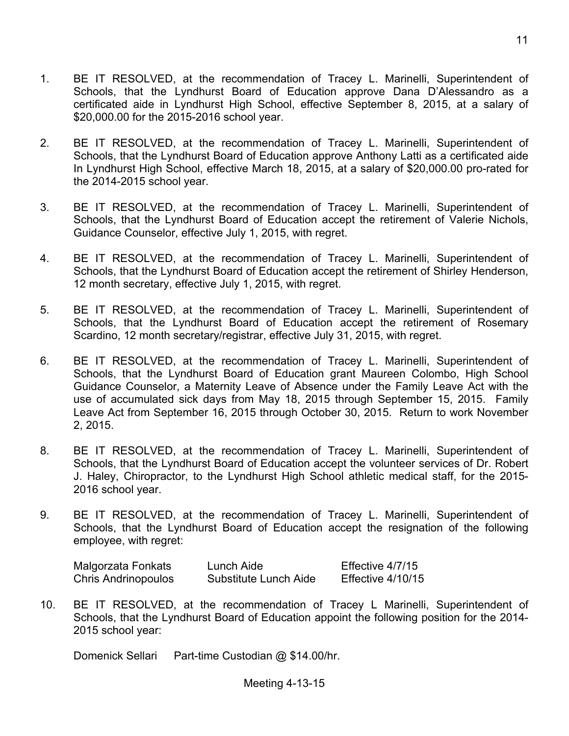- 1. BE IT RESOLVED, at the recommendation of Tracey L. Marinelli, Superintendent of Schools, that the Lyndhurst Board of Education approve Dana D'Alessandro as a certificated aide in Lyndhurst High School, effective September 8, 2015, at a salary of \$20,000.00 for the 2015-2016 school year.
- 2. BE IT RESOLVED, at the recommendation of Tracey L. Marinelli, Superintendent of Schools, that the Lyndhurst Board of Education approve Anthony Latti as a certificated aide In Lyndhurst High School, effective March 18, 2015, at a salary of \$20,000.00 pro-rated for the 2014-2015 school year.
- 3. BE IT RESOLVED, at the recommendation of Tracey L. Marinelli, Superintendent of Schools, that the Lyndhurst Board of Education accept the retirement of Valerie Nichols, Guidance Counselor, effective July 1, 2015, with regret.
- 4. BE IT RESOLVED, at the recommendation of Tracey L. Marinelli, Superintendent of Schools, that the Lyndhurst Board of Education accept the retirement of Shirley Henderson, 12 month secretary, effective July 1, 2015, with regret.
- 5. BE IT RESOLVED, at the recommendation of Tracey L. Marinelli, Superintendent of Schools, that the Lyndhurst Board of Education accept the retirement of Rosemary Scardino, 12 month secretary/registrar, effective July 31, 2015, with regret.
- 6. BE IT RESOLVED, at the recommendation of Tracey L. Marinelli, Superintendent of Schools, that the Lyndhurst Board of Education grant Maureen Colombo, High School Guidance Counselor, a Maternity Leave of Absence under the Family Leave Act with the use of accumulated sick days from May 18, 2015 through September 15, 2015. Family Leave Act from September 16, 2015 through October 30, 2015. Return to work November 2, 2015.
- 8. BE IT RESOLVED, at the recommendation of Tracey L. Marinelli, Superintendent of Schools, that the Lyndhurst Board of Education accept the volunteer services of Dr. Robert J. Haley, Chiropractor, to the Lyndhurst High School athletic medical staff, for the 2015- 2016 school year.
- 9. BE IT RESOLVED, at the recommendation of Tracey L. Marinelli, Superintendent of Schools, that the Lyndhurst Board of Education accept the resignation of the following employee, with regret:

| Malgorzata Fonkats         | Lunch Aide            | Effective 4/7/15  |
|----------------------------|-----------------------|-------------------|
| <b>Chris Andrinopoulos</b> | Substitute Lunch Aide | Effective 4/10/15 |

10. BE IT RESOLVED, at the recommendation of Tracey L Marinelli, Superintendent of Schools, that the Lyndhurst Board of Education appoint the following position for the 2014- 2015 school year:

Domenick Sellari Part-time Custodian @ \$14.00/hr.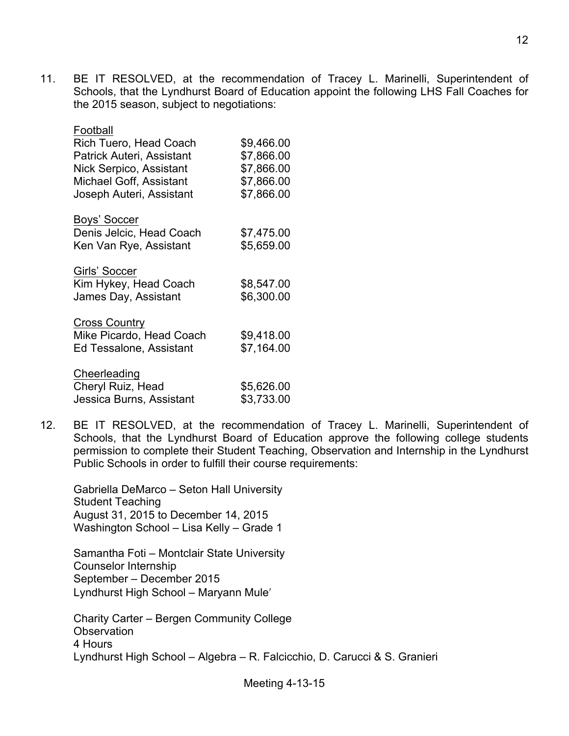11. BE IT RESOLVED, at the recommendation of Tracey L. Marinelli, Superintendent of Schools, that the Lyndhurst Board of Education appoint the following LHS Fall Coaches for the 2015 season, subject to negotiations:

| Football<br><b>Rich Tuero, Head Coach</b><br>Patrick Auteri, Assistant<br><b>Nick Serpico, Assistant</b><br>Michael Goff, Assistant<br>Joseph Auteri, Assistant | \$9,466.00<br>\$7,866.00<br>\$7,866.00<br>\$7,866.00<br>\$7,866.00 |
|-----------------------------------------------------------------------------------------------------------------------------------------------------------------|--------------------------------------------------------------------|
| Boys' Soccer<br>Denis Jelcic, Head Coach<br>Ken Van Rye, Assistant                                                                                              | \$7,475.00<br>\$5,659.00                                           |
| Girls' Soccer<br>Kim Hykey, Head Coach<br>James Day, Assistant                                                                                                  | \$8,547.00<br>\$6,300.00                                           |
| <b>Cross Country</b><br>Mike Picardo, Head Coach<br>Ed Tessalone, Assistant                                                                                     | \$9,418.00<br>\$7,164.00                                           |
| Cheerleading<br>Cheryl Ruiz, Head<br>Jessica Burns, Assistant                                                                                                   | \$5,626.00<br>\$3,733.00                                           |

12. BE IT RESOLVED, at the recommendation of Tracey L. Marinelli, Superintendent of Schools, that the Lyndhurst Board of Education approve the following college students permission to complete their Student Teaching, Observation and Internship in the Lyndhurst Public Schools in order to fulfill their course requirements:

Gabriella DeMarco – Seton Hall University Student Teaching August 31, 2015 to December 14, 2015 Washington School – Lisa Kelly – Grade 1

Samantha Foti – Montclair State University Counselor Internship September – December 2015 Lyndhurst High School – Maryann Muleʹ

Charity Carter – Bergen Community College **Observation** 4 Hours Lyndhurst High School – Algebra – R. Falcicchio, D. Carucci & S. Granieri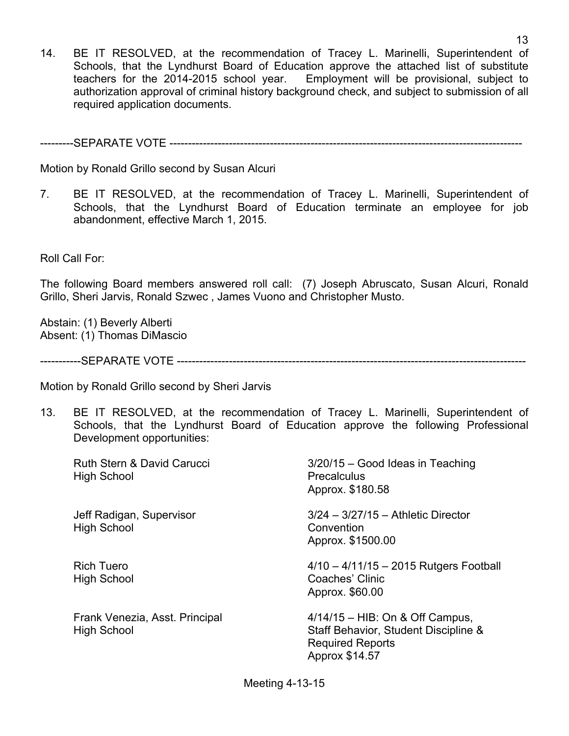14. BE IT RESOLVED, at the recommendation of Tracey L. Marinelli, Superintendent of Schools, that the Lyndhurst Board of Education approve the attached list of substitute teachers for the 2014-2015 school year. Employment will be provisional, subject to authorization approval of criminal history background check, and subject to submission of all required application documents.

---------SEPARATE VOTE -----------------------------------------------------------------------------------------------

Motion by Ronald Grillo second by Susan Alcuri

7. BE IT RESOLVED, at the recommendation of Tracey L. Marinelli, Superintendent of Schools, that the Lyndhurst Board of Education terminate an employee for job abandonment, effective March 1, 2015.

Roll Call For:

The following Board members answered roll call: (7) Joseph Abruscato, Susan Alcuri, Ronald Grillo, Sheri Jarvis, Ronald Szwec , James Vuono and Christopher Musto.

Abstain: (1) Beverly Alberti Absent: (1) Thomas DiMascio

-----------SEPARATE VOTE ----------------------------------------------------------------------------------------------

Motion by Ronald Grillo second by Sheri Jarvis

13. BE IT RESOLVED, at the recommendation of Tracey L. Marinelli, Superintendent of Schools, that the Lyndhurst Board of Education approve the following Professional Development opportunities:

| Ruth Stern & David Carucci<br>High School            | 3/20/15 - Good Ideas in Teaching<br><b>Precalculus</b><br>Approx. \$180.58                                             |
|------------------------------------------------------|------------------------------------------------------------------------------------------------------------------------|
| Jeff Radigan, Supervisor<br><b>High School</b>       | $3/24 - 3/27/15$ - Athletic Director<br>Convention<br>Approx. \$1500.00                                                |
| <b>Rich Tuero</b><br><b>High School</b>              | $4/10 - 4/11/15 - 2015$ Rutgers Football<br>Coaches' Clinic<br>Approx. \$60.00                                         |
| Frank Venezia, Asst. Principal<br><b>High School</b> | $4/14/15$ – HIB: On & Off Campus,<br>Staff Behavior, Student Discipline &<br><b>Required Reports</b><br>Approx \$14.57 |